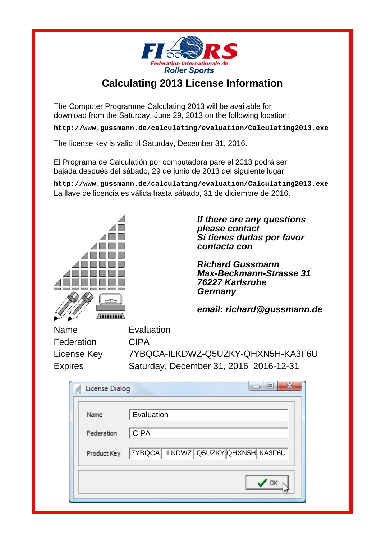

#### **Calculating 2013 License Information**

The Computer Programme Calculating 2013 will be available for download from the Saturday, June 29, 2013 on the following location:

**http://www.gussmann.de/calculating/evaluation/Calculating2013.exe**

The license key is valid til Saturday, December 31, 2016.

El Programa de Calculatión por computadora pare el 2013 podrá ser bajada después del sábado, 29 de junio de 2013 del siguiente lugar:

La llave de licencia es válida hasta sábado, 31 de diciembre de 2016. **http://www.gussmann.de/calculating/evaluation/Calculating2013.exe**



**If there are any questions please contact Si tienes dudas por favor contacta con**

**Richard Gussmann Max-Beckmann-Strasse 31 76227 Karlsruhe Germany**

**email: richard@gussmann.de**

Name Federation License Key **Expires** 

**Evaluation** CIPA 7YBQCA-ILKDWZ-Q5UZKY-QHXN5H-KA3F6U Saturday, December 31, 2016 2016-12-31

| License Dialog | x<br>$\qquad \qquad \Box$          |
|----------------|------------------------------------|
| Name           | Evaluation                         |
| Federation     | <b>CIPA</b>                        |
| Product Key    | 7YBQCA ILKDWZ Q5UZKY QHXN5H KA3F6U |
|                | OK                                 |
|                |                                    |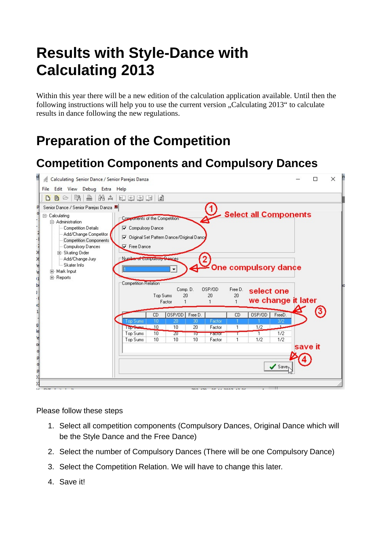# **Results with Style-Dance with Calculating 2013**

Within this year there will be a new edition of the calculation application available. Until then the following instructions will help you to use the current version "Calculating 2013" to calculate results in dance following the new regulations.

# **Preparation of the Competition**

#### **Competition Components and Compulsory Dances**



Please follow these steps

- 1. Select all competition components (Compulsory Dances, Original Dance which will be the Style Dance and the Free Dance)
- 2. Select the number of Compulsory Dances (There will be one Compulsory Dance)
- 3. Select the Competition Relation. We will have to change this later.
- 4. Save it!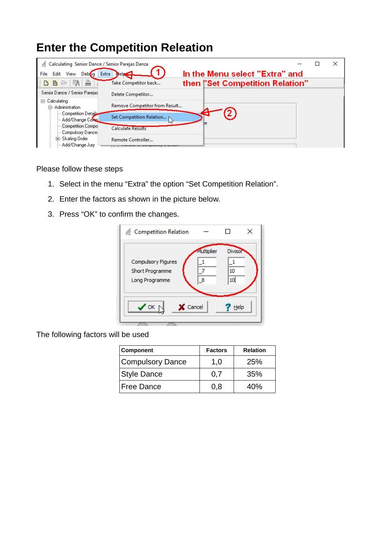### **Enter the Competition Releation**

| Calculating Senior Dance / Senior Parejas Danza |                                                                  |                                 |  |
|-------------------------------------------------|------------------------------------------------------------------|---------------------------------|--|
| File<br>View<br>Edit<br>Extra<br>Debug          | <b>Relax</b>                                                     | In the Menu select "Extra" and  |  |
| 縣<br>≞<br>B<br>G                                | Take Competitor back                                             | then "Set Competition Relation" |  |
| Senior Dance / Senior Parejas                   | Delete Competitor                                                |                                 |  |
| 日· Calculating<br>Administration<br>Fŀ          | Remove Competitor from Result                                    |                                 |  |
| — Competition Details<br>- Add/Change Comp      | Set Competition Relation                                         |                                 |  |
| Competition Compo<br>Compulsory Dance:          | <b>Calculate Results</b>                                         |                                 |  |
| Skating Order<br>田<br>i— Add/Change Jurv        | Remote Controller<br><b>EXECUTIVE WELFARE SERVICE PROVIDENCE</b> |                                 |  |

Please follow these steps

- 1. Select in the menu "Extra" the option "Set Competition Relation".
- 2. Enter the factors as shown in the picture below.
- 3. Press "OK" to confirm the changes.

| <b>Competition Relation</b>                             |                 |                            | × |
|---------------------------------------------------------|-----------------|----------------------------|---|
| Compulsory Figures<br>Short Programme<br>Long Programme | Multiplier<br>8 | <b>Divisor</b><br>10<br>10 |   |
| $\sqrt{X}$ OK N<br>X Cancel                             |                 | Help                       |   |

The following factors will be used

| Component               | <b>Factors</b> | <b>Relation</b> |  |
|-------------------------|----------------|-----------------|--|
| <b>Compulsory Dance</b> | 1,0            | 25%             |  |
| <b>Style Dance</b>      | 0.7            | 35%             |  |
| <b>Free Dance</b>       | 0.8            | 40%             |  |